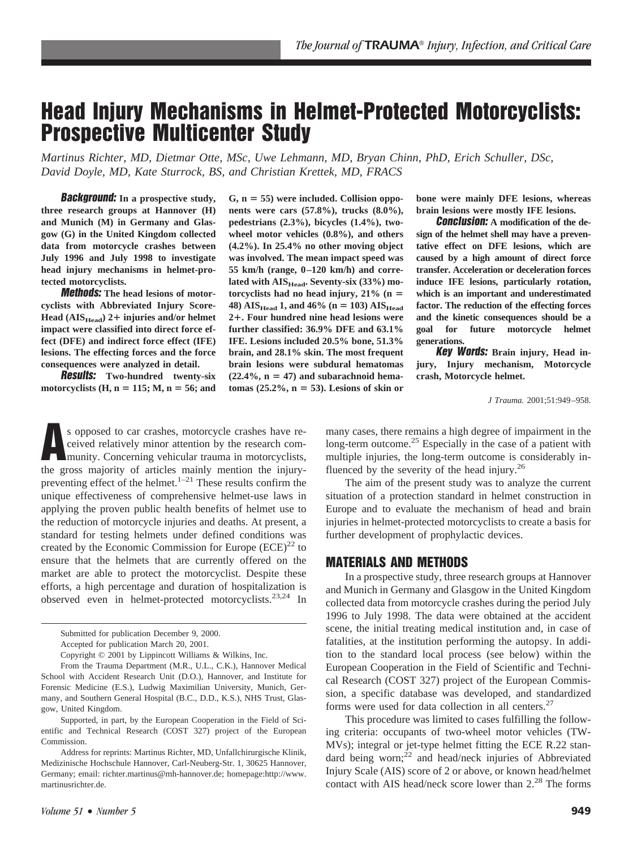# **Head Injury Mechanisms in Helmet-Protected Motorcyclists: Prospective Multicenter Study**

*Martinus Richter, MD, Dietmar Otte, MSc, Uwe Lehmann, MD, Bryan Chinn, PhD, Erich Schuller, DSc, David Doyle, MD, Kate Sturrock, BS, and Christian Krettek, MD, FRACS*

**Background: In a prospective study, three research groups at Hannover (H) and Munich (M) in Germany and Glasgow (G) in the United Kingdom collected data from motorcycle crashes between July 1996 and July 1998 to investigate head injury mechanisms in helmet-protected motorcyclists.**

**Methods: The head lesions of motorcyclists with Abbreviated Injury Score-**Head (AIS<sub>Head</sub>) 2+ injuries and/or helmet **impact were classified into direct force effect (DFE) and indirect force effect (IFE) lesions. The effecting forces and the force consequences were analyzed in detail.**

**Results: Two-hundred twenty-six**  $\text{motorcyclists (H, n} = 115; \text{M, n} = 56; \text{ and}$ 

**G, n** - **55) were included. Collision opponents were cars (57.8%), trucks (8.0%), pedestrians (2.3%), bicycles (1.4%), twowheel motor vehicles (0.8%), and others (4.2%). In 25.4% no other moving object was involved. The mean impact speed was 55 km/h (range, 0–120 km/h) and corre**lated with AIS<sub>Head</sub>. Seventy-six (33%) mo**torcyclists had no head injury, 21% (n** - 48) AIS<sub>Head</sub> 1, and 46% (n = 103) AIS<sub>Head</sub> **2. Four hundred nine head lesions were further classified: 36.9% DFE and 63.1% IFE. Lesions included 20.5% bone, 51.3% brain, and 28.1% skin. The most frequent brain lesions were subdural hematomas**  $(22.4\%, n = 47)$  and subarachnoid hema $t_{\text{cons}}$  (25.2%,  $n = 53$ ). Lesions of skin or

**bone were mainly DFE lesions, whereas brain lesions were mostly IFE lesions.**

**Conclusion: A modification of the design of the helmet shell may have a preventative effect on DFE lesions, which are caused by a high amount of direct force transfer. Acceleration or deceleration forces induce IFE lesions, particularly rotation, which is an important and underestimated factor. The reduction of the effecting forces and the kinetic consequences should be a goal for future motorcycle helmet generations.**

**Key Words: Brain injury, Head injury, Injury mechanism, Motorcycle crash, Motorcycle helmet.**

*J Trauma.* 2001;51:949–958.

**A** s opposed to car crashes, motorcycle crashes have received relatively minor attention by the research community. Concerning vehicular trauma in motorcyclists, the gross majority of articles mainly mention the injurypreventing effect of the helmet. $1-21$  These results confirm the unique effectiveness of comprehensive helmet-use laws in applying the proven public health benefits of helmet use to the reduction of motorcycle injuries and deaths. At present, a standard for testing helmets under defined conditions was created by the Economic Commission for Europe  $(ECE)^{22}$  to ensure that the helmets that are currently offered on the market are able to protect the motorcyclist. Despite these efforts, a high percentage and duration of hospitalization is observed even in helmet-protected motorcyclists.23,24 In

many cases, there remains a high degree of impairment in the long-term outcome.<sup>25</sup> Especially in the case of a patient with multiple injuries, the long-term outcome is considerably influenced by the severity of the head injury.26

The aim of the present study was to analyze the current situation of a protection standard in helmet construction in Europe and to evaluate the mechanism of head and brain injuries in helmet-protected motorcyclists to create a basis for further development of prophylactic devices.

## **MATERIALS AND METHODS**

In a prospective study, three research groups at Hannover and Munich in Germany and Glasgow in the United Kingdom collected data from motorcycle crashes during the period July 1996 to July 1998. The data were obtained at the accident scene, the initial treating medical institution and, in case of fatalities, at the institution performing the autopsy. In addition to the standard local process (see below) within the European Cooperation in the Field of Scientific and Technical Research (COST 327) project of the European Commission, a specific database was developed, and standardized forms were used for data collection in all centers.27

This procedure was limited to cases fulfilling the following criteria: occupants of two-wheel motor vehicles (TW-MVs); integral or jet-type helmet fitting the ECE R.22 standard being worn;<sup>22</sup> and head/neck injuries of Abbreviated Injury Scale (AIS) score of 2 or above, or known head/helmet contact with AIS head/neck score lower than  $2<sup>28</sup>$  The forms

Submitted for publication December 9, 2000.

Accepted for publication March 20, 2001.

Copyright © 2001 by Lippincott Williams & Wilkins, Inc.

From the Trauma Department (M.R., U.L., C.K.), Hannover Medical School with Accident Research Unit (D.O.), Hannover, and Institute for Forensic Medicine (E.S.), Ludwig Maximilian University, Munich, Germany, and Southern General Hospital (B.C., D.D., K.S.), NHS Trust, Glasgow, United Kingdom.

Supported, in part, by the European Cooperation in the Field of Scientific and Technical Research (COST 327) project of the European Commission.

Address for reprints: Martinus Richter, MD, Unfallchirurgische Klinik, Medizinische Hochschule Hannover, Carl-Neuberg-Str. 1, 30625 Hannover, Germany; email: richter.martinus@mh-hannover.de; homepage:http://www. martinusrichter.de.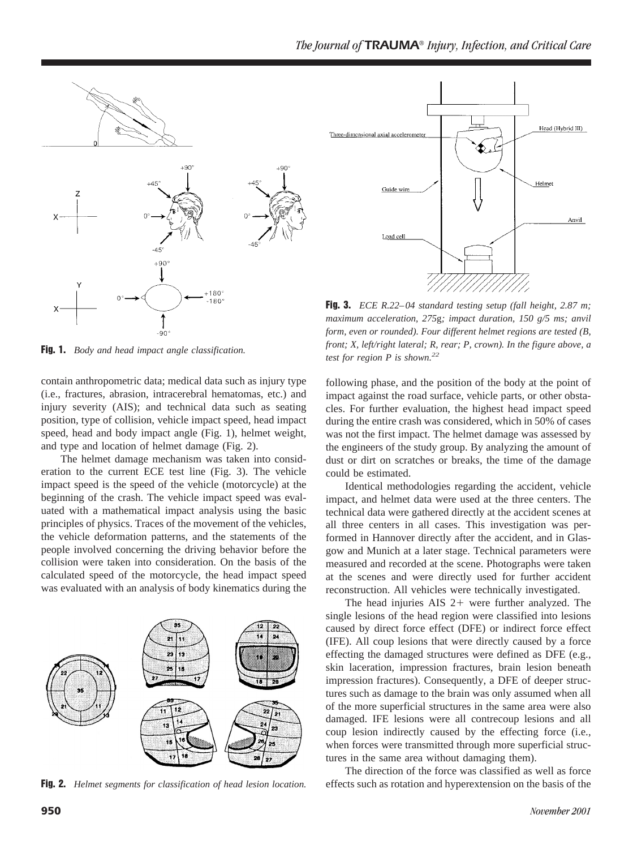

**Fig. 1.** *Body and head impact angle classification.*

contain anthropometric data; medical data such as injury type (i.e., fractures, abrasion, intracerebral hematomas, etc.) and injury severity (AIS); and technical data such as seating position, type of collision, vehicle impact speed, head impact speed, head and body impact angle (Fig. 1), helmet weight, and type and location of helmet damage (Fig. 2).

The helmet damage mechanism was taken into consideration to the current ECE test line (Fig. 3). The vehicle impact speed is the speed of the vehicle (motorcycle) at the beginning of the crash. The vehicle impact speed was evaluated with a mathematical impact analysis using the basic principles of physics. Traces of the movement of the vehicles, the vehicle deformation patterns, and the statements of the people involved concerning the driving behavior before the collision were taken into consideration. On the basis of the calculated speed of the motorcycle, the head impact speed was evaluated with an analysis of body kinematics during the





**Fig. 3.** *ECE R.22–04 standard testing setup (fall height, 2.87 m; maximum acceleration, 275*g*; impact duration, 150 g/5 ms; anvil form, even or rounded). Four different helmet regions are tested (B, front; X, left/right lateral; R, rear; P, crown). In the figure above, a test for region P is shown.22*

following phase, and the position of the body at the point of impact against the road surface, vehicle parts, or other obstacles. For further evaluation, the highest head impact speed during the entire crash was considered, which in 50% of cases was not the first impact. The helmet damage was assessed by the engineers of the study group. By analyzing the amount of dust or dirt on scratches or breaks, the time of the damage could be estimated.

Identical methodologies regarding the accident, vehicle impact, and helmet data were used at the three centers. The technical data were gathered directly at the accident scenes at all three centers in all cases. This investigation was performed in Hannover directly after the accident, and in Glasgow and Munich at a later stage. Technical parameters were measured and recorded at the scene. Photographs were taken at the scenes and were directly used for further accident reconstruction. All vehicles were technically investigated.

The head injuries  $AIS$  2+ were further analyzed. The single lesions of the head region were classified into lesions caused by direct force effect (DFE) or indirect force effect (IFE). All coup lesions that were directly caused by a force effecting the damaged structures were defined as DFE (e.g., skin laceration, impression fractures, brain lesion beneath impression fractures). Consequently, a DFE of deeper structures such as damage to the brain was only assumed when all of the more superficial structures in the same area were also damaged. IFE lesions were all contrecoup lesions and all coup lesion indirectly caused by the effecting force (i.e., when forces were transmitted through more superficial structures in the same area without damaging them).

The direction of the force was classified as well as force **Fig. 2.** *Helmet segments for classification of head lesion location.* effects such as rotation and hyperextension on the basis of the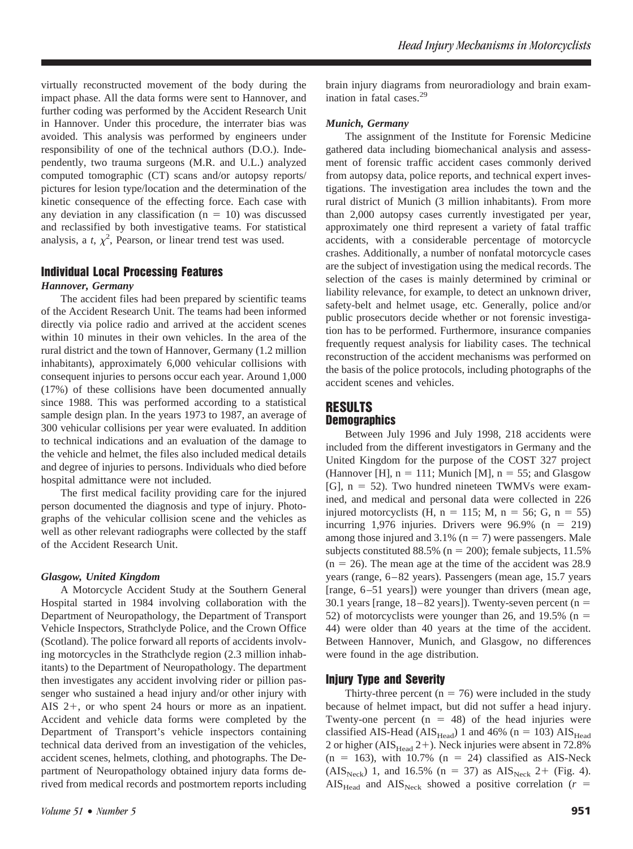virtually reconstructed movement of the body during the impact phase. All the data forms were sent to Hannover, and further coding was performed by the Accident Research Unit in Hannover. Under this procedure, the interrater bias was avoided. This analysis was performed by engineers under responsibility of one of the technical authors (D.O.). Independently, two trauma surgeons (M.R. and U.L.) analyzed computed tomographic (CT) scans and/or autopsy reports/ pictures for lesion type/location and the determination of the kinetic consequence of the effecting force. Each case with any deviation in any classification  $(n = 10)$  was discussed and reclassified by both investigative teams. For statistical analysis, a  $t$ ,  $\chi^2$ , Pearson, or linear trend test was used.

## **Individual Local Processing Features**

## *Hannover, Germany*

The accident files had been prepared by scientific teams of the Accident Research Unit. The teams had been informed directly via police radio and arrived at the accident scenes within 10 minutes in their own vehicles. In the area of the rural district and the town of Hannover, Germany (1.2 million inhabitants), approximately 6,000 vehicular collisions with consequent injuries to persons occur each year. Around 1,000 (17%) of these collisions have been documented annually since 1988. This was performed according to a statistical sample design plan. In the years 1973 to 1987, an average of 300 vehicular collisions per year were evaluated. In addition to technical indications and an evaluation of the damage to the vehicle and helmet, the files also included medical details and degree of injuries to persons. Individuals who died before hospital admittance were not included.

The first medical facility providing care for the injured person documented the diagnosis and type of injury. Photographs of the vehicular collision scene and the vehicles as well as other relevant radiographs were collected by the staff of the Accident Research Unit.

## *Glasgow, United Kingdom*

A Motorcycle Accident Study at the Southern General Hospital started in 1984 involving collaboration with the Department of Neuropathology, the Department of Transport Vehicle Inspectors, Strathclyde Police, and the Crown Office (Scotland). The police forward all reports of accidents involving motorcycles in the Strathclyde region (2.3 million inhabitants) to the Department of Neuropathology. The department then investigates any accident involving rider or pillion passenger who sustained a head injury and/or other injury with AIS  $2+$ , or who spent 24 hours or more as an inpatient. Accident and vehicle data forms were completed by the Department of Transport's vehicle inspectors containing technical data derived from an investigation of the vehicles, accident scenes, helmets, clothing, and photographs. The Department of Neuropathology obtained injury data forms derived from medical records and postmortem reports including

brain injury diagrams from neuroradiology and brain examination in fatal cases.<sup>29</sup>

## *Munich, Germany*

The assignment of the Institute for Forensic Medicine gathered data including biomechanical analysis and assessment of forensic traffic accident cases commonly derived from autopsy data, police reports, and technical expert investigations. The investigation area includes the town and the rural district of Munich (3 million inhabitants). From more than 2,000 autopsy cases currently investigated per year, approximately one third represent a variety of fatal traffic accidents, with a considerable percentage of motorcycle crashes. Additionally, a number of nonfatal motorcycle cases are the subject of investigation using the medical records. The selection of the cases is mainly determined by criminal or liability relevance, for example, to detect an unknown driver, safety-belt and helmet usage, etc. Generally, police and/or public prosecutors decide whether or not forensic investigation has to be performed. Furthermore, insurance companies frequently request analysis for liability cases. The technical reconstruction of the accident mechanisms was performed on the basis of the police protocols, including photographs of the accident scenes and vehicles.

## **RESULTS Demographics**

Between July 1996 and July 1998, 218 accidents were included from the different investigators in Germany and the United Kingdom for the purpose of the COST 327 project (Hannover [H],  $n = 111$ ; Munich [M],  $n = 55$ ; and Glasgow [G],  $n = 52$ ). Two hundred nineteen TWMVs were examined, and medical and personal data were collected in 226 injured motorcyclists  $(H, n = 115; M, n = 56; G, n = 55)$ incurring  $1,976$  injuries. Drivers were  $96.9\%$  (n = 219) among those injured and  $3.1\%$  (n = 7) were passengers. Male subjects constituted  $88.5\%$  (n = 200); female subjects, 11.5%  $(n = 26)$ . The mean age at the time of the accident was 28.9 years (range, 6–82 years). Passengers (mean age, 15.7 years [range, 6–51 years]) were younger than drivers (mean age, 30.1 years [range,  $18-82$  years]). Twenty-seven percent (n = 52) of motorcyclists were younger than 26, and 19.5% ( $n =$ 44) were older than 40 years at the time of the accident. Between Hannover, Munich, and Glasgow, no differences were found in the age distribution.

## **Injury Type and Severity**

Thirty-three percent ( $n = 76$ ) were included in the study because of helmet impact, but did not suffer a head injury. Twenty-one percent  $(n = 48)$  of the head injuries were classified AIS-Head ( $\text{AIS}_{\text{Head}}$ ) 1 and 46% (n = 103)  $\text{AIS}_{\text{Head}}$ 2 or higher (AIS $_{\text{Head}}$  2+). Neck injuries were absent in 72.8%  $(n = 163)$ , with 10.7%  $(n = 24)$  classified as AIS-Neck  $(ALS_{\text{Neck}})$  1, and 16.5% (n = 37) as  $\text{AIS}_{\text{Neck}}$  2+ (Fig. 4).  $\text{AIS}_{\text{Head}}$  and  $\text{AIS}_{\text{Neck}}$  showed a positive correlation ( $r =$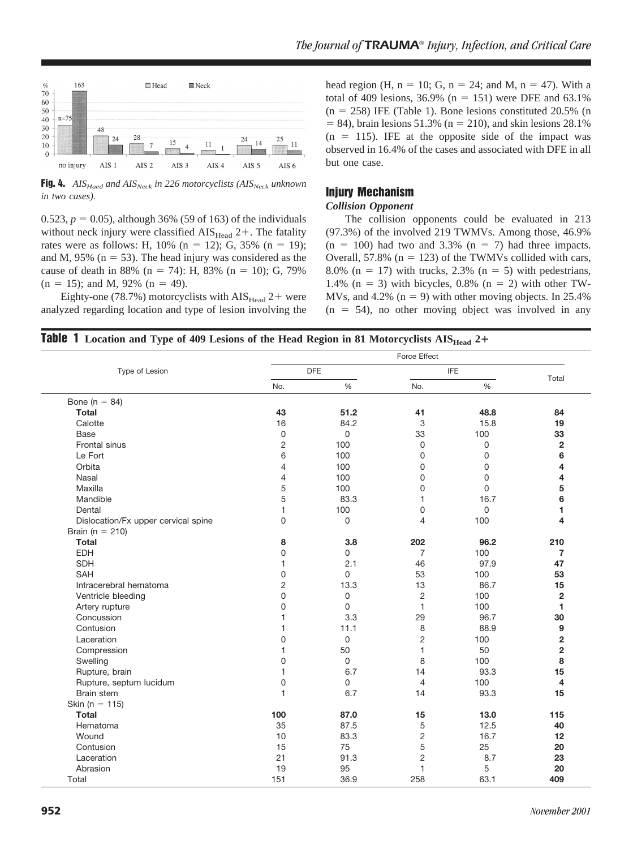

Fig. 4. *AIS<sub>Haed</sub>* and  $AIS_{Neck}$  in 226 motorcyclists ( $AIS_{Neck}$  *unknown in two cases).*

0.523,  $p = 0.05$ ), although 36% (59 of 163) of the individuals without neck injury were classified  $\text{AIS}_{\text{Head}}$  2+. The fatality rates were as follows: H,  $10\%$  (n = 12); G,  $35\%$  (n = 19); and M,  $95\%$  ( $n = 53$ ). The head injury was considered as the cause of death in 88% ( $n = 74$ ): H, 83% ( $n = 10$ ); G, 79%  $(n = 15)$ ; and M, 92%  $(n = 49)$ .

Eighty-one (78.7%) motorcyclists with  $\text{AIS}_{\text{Head}}$  2+ were analyzed regarding location and type of lesion involving the

head region (H,  $n = 10$ ; G,  $n = 24$ ; and M,  $n = 47$ ). With a total of 409 lesions,  $36.9\%$  (n = 151) were DFE and  $63.1\%$  $(n = 258)$  IFE (Table 1). Bone lesions constituted 20.5% (n  $= 84$ ), brain lesions 51.3% (n  $= 210$ ), and skin lesions 28.1%  $(n = 115)$ . IFE at the opposite side of the impact was observed in 16.4% of the cases and associated with DFE in all but one case.

## **Injury Mechanism**

## *Collision Opponent*

The collision opponents could be evaluated in 213 (97.3%) of the involved 219 TWMVs. Among those, 46.9%  $(n = 100)$  had two and 3.3%  $(n = 7)$  had three impacts. Overall, 57.8%  $(n = 123)$  of the TWMVs collided with cars, 8.0% ( $n = 17$ ) with trucks, 2.3% ( $n = 5$ ) with pedestrians, 1.4% ( $n = 3$ ) with bicycles, 0.8% ( $n = 2$ ) with other TW-MVs, and  $4.2\%$  (n = 9) with other moving objects. In 25.4%  $(n = 54)$ , no other moving object was involved in any

## **Table 1** Location and Type of 409 Lesions of the Head Region in 81 Motorcyclists AIS<sub>Head</sub> 2+

|                                     | Force Effect   |            |                |      |                |  |  |  |  |
|-------------------------------------|----------------|------------|----------------|------|----------------|--|--|--|--|
| Type of Lesion                      |                | <b>DFE</b> | <b>IFE</b>     |      |                |  |  |  |  |
|                                     | No.            | $\%$       | No.            | $\%$ | Total          |  |  |  |  |
| Bone ( $n = 84$ )                   |                |            |                |      |                |  |  |  |  |
| <b>Total</b>                        | 43             | 51.2       | 41             | 48.8 | 84             |  |  |  |  |
| Calotte                             | 16             | 84.2       | 3              | 15.8 | 19             |  |  |  |  |
| <b>Base</b>                         | $\mathbf 0$    | 0          | 33             | 100  | 33             |  |  |  |  |
| Frontal sinus                       | $\overline{2}$ | 100        | 0              | 0    | $\overline{2}$ |  |  |  |  |
| Le Fort                             | 6              | 100        | $\Omega$       | 0    | 6              |  |  |  |  |
| Orbita                              | 4              | 100        | 0              | 0    | 4              |  |  |  |  |
| Nasal                               | $\overline{4}$ | 100        | 0              | 0    | 4              |  |  |  |  |
| Maxilla                             | 5              | 100        | 0              | 0    | 5              |  |  |  |  |
| Mandible                            | 5              | 83.3       | 1              | 16.7 | 6              |  |  |  |  |
| Dental                              | $\mathbf{1}$   | 100        | 0              | 0    | 1              |  |  |  |  |
| Dislocation/Fx upper cervical spine | $\overline{0}$ | 0          | 4              | 100  | 4              |  |  |  |  |
| Brain ( $n = 210$ )                 |                |            |                |      |                |  |  |  |  |
| Total                               | 8              | 3.8        | 202            | 96.2 | 210            |  |  |  |  |
| <b>EDH</b>                          | $\overline{0}$ | $\Omega$   | $\overline{7}$ | 100  | $\overline{7}$ |  |  |  |  |
| <b>SDH</b>                          | $\mathbf{1}$   | 2.1        | 46             | 97.9 | 47             |  |  |  |  |
| SAH                                 | $\mathbf 0$    | $\Omega$   | 53             | 100  | 53             |  |  |  |  |
| Intracerebral hematoma              | $\overline{2}$ | 13.3       | 13             | 86.7 | 15             |  |  |  |  |
| Ventricle bleeding                  | $\mathbf{0}$   | 0          | $\overline{2}$ | 100  | $\overline{2}$ |  |  |  |  |
| Artery rupture                      | $\mathbf 0$    | 0          | $\mathbf{1}$   | 100  | 1              |  |  |  |  |
| Concussion                          | $\mathbf{1}$   | 3.3        | 29             | 96.7 | 30             |  |  |  |  |
| Contusion                           | $\mathbf{1}$   | 11.1       | 8              | 88.9 | 9              |  |  |  |  |
| Laceration                          | $\mathbf 0$    | 0          | $\overline{2}$ | 100  | $\overline{2}$ |  |  |  |  |
| Compression                         | $\mathbf{1}$   | 50         | 1              | 50   | $\overline{2}$ |  |  |  |  |
| Swelling                            | $\Omega$       | $\Omega$   | 8              | 100  | 8              |  |  |  |  |
| Rupture, brain                      | $\mathbf{1}$   | 6.7        | 14             | 93.3 | 15             |  |  |  |  |
| Rupture, septum lucidum             | $\mathbf 0$    | 0          | $\overline{4}$ | 100  | 4              |  |  |  |  |
| Brain stem                          | $\mathbf{1}$   | 6.7        | 14             | 93.3 | 15             |  |  |  |  |
| Skin ( $n = 115$ )                  |                |            |                |      |                |  |  |  |  |
| <b>Total</b>                        | 100            | 87.0       | 15             | 13.0 | 115            |  |  |  |  |
| Hematoma                            | 35             | 87.5       | 5              | 12.5 | 40             |  |  |  |  |
| Wound                               | 10             | 83.3       | $\overline{c}$ | 16.7 | 12             |  |  |  |  |
| Contusion                           | 15             | 75         | 5              | 25   | 20             |  |  |  |  |
| Laceration                          | 21             | 91.3       | $\overline{c}$ | 8.7  | 23             |  |  |  |  |
| Abrasion                            | 19             | 95         | 1              | 5    | 20             |  |  |  |  |
| Total                               | 151            | 36.9       | 258            | 63.1 | 409            |  |  |  |  |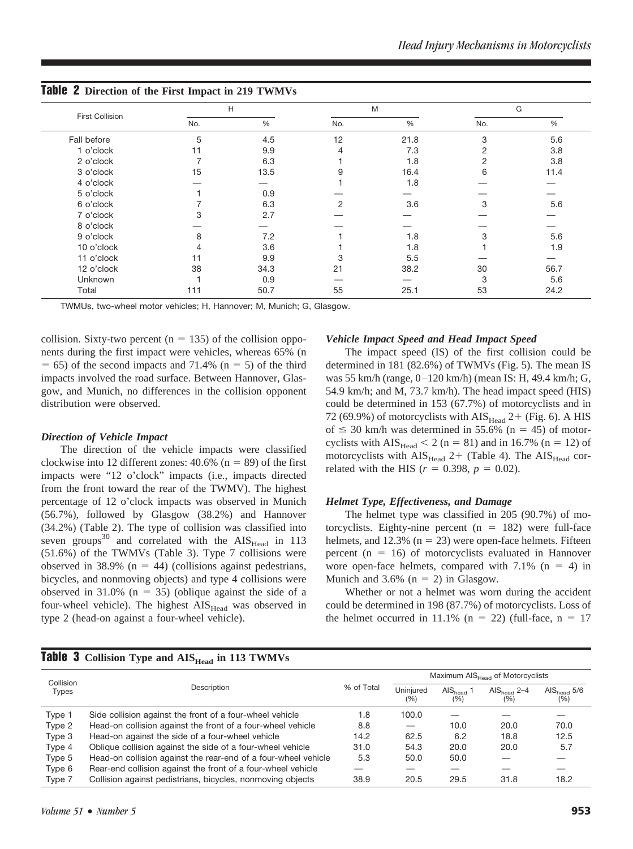| <b>First Collision</b> |     | H    |     | M    | G   |               |  |
|------------------------|-----|------|-----|------|-----|---------------|--|
|                        | No. | $\%$ | No. | $\%$ | No. | $\frac{0}{0}$ |  |
| Fall before            | 5   | 4.5  | 12  | 21.8 | 3   | 5.6           |  |
| 1 o'clock              |     | 9.9  | 4   | 7.3  | 2   | 3.8           |  |
| 2 o'clock              |     | 6.3  |     | 1.8  | 2   | 3.8           |  |
| 3 o'clock              | 15  | 13.5 | 9   | 16.4 | 6   | 11.4          |  |
| 4 o'clock              |     |      |     | 1.8  |     |               |  |
| 5 o'clock              |     | 0.9  |     |      |     |               |  |
| 6 o'clock              |     | 6.3  | 2   | 3.6  | 3   | 5.6           |  |
| 7 o'clock              | 3   | 2.7  |     |      |     |               |  |
| 8 o'clock              |     |      |     |      |     |               |  |
| 9 o'clock              | 8   | 7.2  |     | 1.8  | 3   | 5.6           |  |
| 10 o'clock             | 4   | 3.6  |     | 1.8  |     | 1.9           |  |
| 11 o'clock             | 11  | 9.9  | 3   | 5.5  |     |               |  |
| 12 o'clock             | 38  | 34.3 | 21  | 38.2 | 30  | 56.7          |  |
| <b>Unknown</b>         |     | 0.9  |     |      | 3   | 5.6           |  |
| Total                  | 111 | 50.7 | 55  | 25.1 | 53  | 24.2          |  |

**Table 2 Direction of the First Impact in 219 TWMVs**

TWMUs, two-wheel motor vehicles; H, Hannover; M, Munich; G, Glasgow.

collision. Sixty-two percent  $(n = 135)$  of the collision opponents during the first impact were vehicles, whereas 65% (n  $= 65$ ) of the second impacts and 71.4% ( $n = 5$ ) of the third impacts involved the road surface. Between Hannover, Glasgow, and Munich, no differences in the collision opponent distribution were observed.

## *Direction of Vehicle Impact*

The direction of the vehicle impacts were classified clockwise into 12 different zones:  $40.6\%$  (n = 89) of the first impacts were "12 o'clock" impacts (i.e., impacts directed from the front toward the rear of the TWMV). The highest percentage of 12 o'clock impacts was observed in Munich (56.7%), followed by Glasgow (38.2%) and Hannover (34.2%) (Table 2). The type of collision was classified into seven groups<sup>30</sup> and correlated with the  $\text{AIS}_{\text{Head}}$  in 113 (51.6%) of the TWMVs (Table 3). Type 7 collisions were observed in 38.9% ( $n = 44$ ) (collisions against pedestrians, bicycles, and nonmoving objects) and type 4 collisions were observed in 31.0% ( $n = 35$ ) (oblique against the side of a four-wheel vehicle). The highest  $\text{AIS}_{\text{Head}}$  was observed in type 2 (head-on against a four-wheel vehicle).

## *Vehicle Impact Speed and Head Impact Speed*

The impact speed (IS) of the first collision could be determined in 181 (82.6%) of TWMVs (Fig. 5). The mean IS was 55 km/h (range, 0–120 km/h) (mean IS: H, 49.4 km/h; G, 54.9 km/h; and M, 73.7 km/h). The head impact speed (HIS) could be determined in 153 (67.7%) of motorcyclists and in 72 (69.9%) of motorcyclists with  $\text{AIS}_{\text{Head}}$  2+ (Fig. 6). A HIS of  $\leq$  30 km/h was determined in 55.6% (n = 45) of motorcyclists with  $\text{AIS}_{\text{Head}} < 2 \text{ (n = 81)}$  and in 16.7% (n = 12) of motorcyclists with  $\text{AIS}_{\text{Head}}$  2+ (Table 4). The  $\text{AIS}_{\text{Head}}$  correlated with the HIS  $(r = 0.398, p = 0.02)$ .

## *Helmet Type, Effectiveness, and Damage*

The helmet type was classified in 205 (90.7%) of motorcyclists. Eighty-nine percent  $(n = 182)$  were full-face helmets, and  $12.3\%$  ( $n = 23$ ) were open-face helmets. Fifteen percent  $(n = 16)$  of motorcyclists evaluated in Hannover wore open-face helmets, compared with  $7.1\%$  (n = 4) in Munich and  $3.6\%$  (n = 2) in Glasgow.

Whether or not a helmet was worn during the accident could be determined in 198 (87.7%) of motorcyclists. Loss of the helmet occurred in 11.1% ( $n = 22$ ) (full-face,  $n = 17$ 

| Collision    |                                                                |            | Maximum AIS <sub>Head</sub> of Motorcyclists |                                        |                                  |                                              |  |  |
|--------------|----------------------------------------------------------------|------------|----------------------------------------------|----------------------------------------|----------------------------------|----------------------------------------------|--|--|
| <b>Types</b> | Description                                                    | % of Total | Uniniured<br>$(\% )$                         | $\mathsf{AIS}_{\mathsf{head}}$<br>(% ) | AIS $_{\text{head}}$ 2–4<br>(% ) | $\overline{A}$ IS <sub>head</sub> 5/6<br>(%) |  |  |
| Type 1       | Side collision against the front of a four-wheel vehicle       | 1.8        | 100.0                                        |                                        |                                  |                                              |  |  |
| Type 2       | Head-on collision against the front of a four-wheel vehicle    | 8.8        | $\overline{\phantom{0}}$                     | 10.0                                   | 20.0                             | 70.0                                         |  |  |
| Type 3       | Head-on against the side of a four-wheel vehicle               | 14.2       | 62.5                                         | 6.2                                    | 18.8                             | 12.5                                         |  |  |
| Type 4       | Oblique collision against the side of a four-wheel vehicle     | 31.0       | 54.3                                         | 20.0                                   | 20.0                             | 5.7                                          |  |  |
| Type 5       | Head-on collision against the rear-end of a four-wheel vehicle | 5.3        | 50.0                                         | 50.0                                   |                                  |                                              |  |  |
| Type 6       | Rear-end collision against the front of a four-wheel vehicle   |            |                                              |                                        |                                  |                                              |  |  |
| Type 7       | Collision against pedistrians, bicycles, nonmoving objects     | 38.9       | 20.5                                         | 29.5                                   | 31.8                             | 18.2                                         |  |  |

**Table 3** Collision Type and AIS<sub>Head</sub> in 113 TWMVs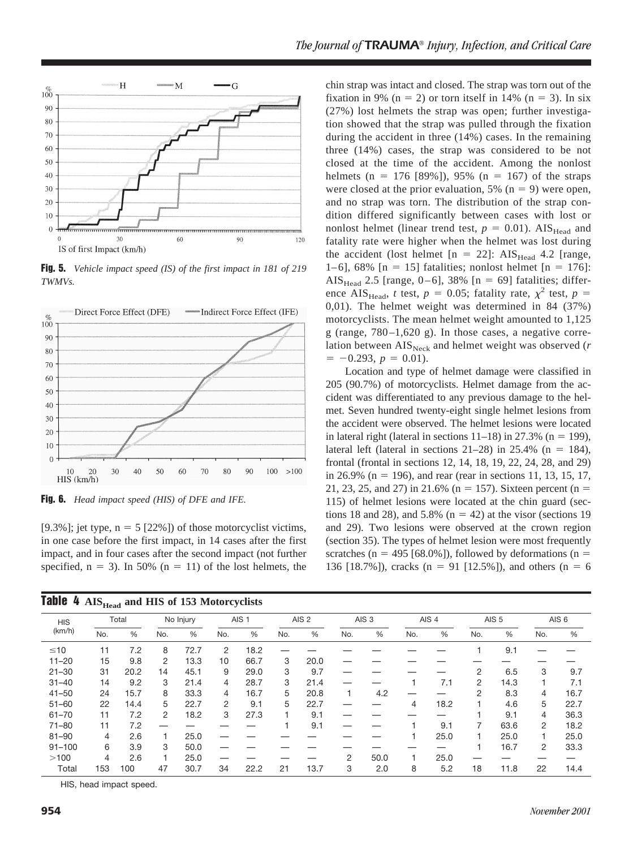

**Fig. 5.** *Vehicle impact speed (IS) of the first impact in 181 of 219 TWMVs.*



**Fig. 6.** *Head impact speed (HIS) of DFE and IFE.*

[9.3%]; jet type,  $n = 5$  [22%]) of those motorcyclist victims, in one case before the first impact, in 14 cases after the first impact, and in four cases after the second impact (not further specified,  $n = 3$ ). In 50% ( $n = 11$ ) of the lost helmets, the chin strap was intact and closed. The strap was torn out of the fixation in 9% ( $n = 2$ ) or torn itself in 14% ( $n = 3$ ). In six (27%) lost helmets the strap was open; further investigation showed that the strap was pulled through the fixation during the accident in three (14%) cases. In the remaining three (14%) cases, the strap was considered to be not closed at the time of the accident. Among the nonlost helmets ( $n = 176$  [89%]), 95% ( $n = 167$ ) of the straps were closed at the prior evaluation,  $5\%$  (n = 9) were open, and no strap was torn. The distribution of the strap condition differed significantly between cases with lost or nonlost helmet (linear trend test,  $p = 0.01$ ). AIS<sub>Head</sub> and fatality rate were higher when the helmet was lost during the accident (lost helmet  $[n = 22]$ : AIS<sub>Head</sub> 4.2 [range, 1-6], 68% [ $n = 15$ ] fatalities; nonlost helmet [ $n = 176$ ]: AIS<sub>Head</sub> 2.5 [range,  $0-6$ ], 38% [n = 69] fatalities; difference AIS<sub>Head</sub>, *t* test,  $p = 0.05$ ; fatality rate,  $\chi^2$  test,  $p =$ 0,01). The helmet weight was determined in 84 (37%) motorcyclists. The mean helmet weight amounted to 1,125 g (range,  $780 - 1{,}620$  g). In those cases, a negative correlation between  $\text{AIS}_{\text{Neck}}$  and helmet weight was observed ( $r$ )  $= -0.293, p = 0.01$ .

Location and type of helmet damage were classified in 205 (90.7%) of motorcyclists. Helmet damage from the accident was differentiated to any previous damage to the helmet. Seven hundred twenty-eight single helmet lesions from the accident were observed. The helmet lesions were located in lateral right (lateral in sections  $11-18$ ) in 27.3% (n = 199), lateral left (lateral in sections  $21-28$ ) in  $25.4\%$  (n = 184), frontal (frontal in sections 12, 14, 18, 19, 22, 24, 28, and 29) in 26.9% ( $n = 196$ ), and rear (rear in sections 11, 13, 15, 17, 21, 23, 25, and 27) in 21.6% ( $n = 157$ ). Sixteen percent ( $n =$ 115) of helmet lesions were located at the chin guard (sections 18 and 28), and 5.8% ( $n = 42$ ) at the visor (sections 19 and 29). Two lesions were observed at the crown region (section 35). The types of helmet lesion were most frequently scratches ( $n = 495$  [68.0%]), followed by deformations ( $n =$ 136 [18.7%]), cracks (n = 91 [12.5%]), and others (n = 6

| <b>HIS</b><br>(km/h) | Total |      | No Injury |      | AIS <sub>1</sub> |      | AIS <sub>2</sub> |               | AIS <sub>3</sub> |      | AIS <sub>4</sub> |               | AIS <sub>5</sub> |      | AIS <sub>6</sub> |               |
|----------------------|-------|------|-----------|------|------------------|------|------------------|---------------|------------------|------|------------------|---------------|------------------|------|------------------|---------------|
|                      | No.   | %    | No.       | %    | No.              | %    | No.              | $\frac{0}{0}$ | No.              | %    | No.              | $\frac{0}{0}$ | No.              | %    | No.              | $\frac{0}{0}$ |
| $\leq 10$            | 11    | 7.2  | 8         | 72.7 | 2                | 18.2 |                  |               |                  |      |                  |               |                  | 9.1  |                  |               |
| $11 - 20$            | 15    | 9.8  | 2         | 13.3 | 10               | 66.7 | 3                | 20.0          |                  |      |                  |               |                  |      |                  |               |
| $21 - 30$            | 31    | 20.2 | 14        | 45.1 | 9                | 29.0 | 3                | 9.7           |                  |      |                  |               | 2                | 6.5  | 3                | 9.7           |
| $31 - 40$            | 14    | 9.2  | 3         | 21.4 | $\overline{4}$   | 28.7 | 3                | 21.4          |                  |      |                  | 7.1           | 2                | 14.3 |                  | 7.1           |
| $41 - 50$            | 24    | 15.7 | 8         | 33.3 | 4                | 16.7 | 5                | 20.8          |                  | 4.2  |                  |               | $\overline{2}$   | 8.3  | 4                | 16.7          |
| $51 - 60$            | 22    | 14.4 | 5         | 22.7 | 2                | 9.1  | 5                | 22.7          |                  |      | 4                | 18.2          |                  | 4.6  | 5                | 22.7          |
| $61 - 70$            | 11    | 7.2  | 2         | 18.2 | 3                | 27.3 |                  | 9.1           |                  |      |                  |               |                  | 9.1  | 4                | 36.3          |
| $71 - 80$            | 11    | 7.2  |           |      |                  |      |                  | 9.1           |                  |      |                  | 9.1           | 7                | 63.6 | 2                | 18.2          |
| $81 - 90$            | 4     | 2.6  |           | 25.0 |                  |      |                  |               |                  |      |                  | 25.0          |                  | 25.0 |                  | 25.0          |
| $91 - 100$           | 6     | 3.9  | 3         | 50.0 |                  |      |                  |               |                  |      |                  |               |                  | 16.7 | 2                | 33.3          |
| >100                 | 4     | 2.6  |           | 25.0 |                  |      |                  |               | 2                | 50.0 |                  | 25.0          |                  |      |                  |               |
| Total                | 153   | 100  | 47        | 30.7 | 34               | 22.2 | 21               | 13.7          | 3                | 2.0  | 8                | 5.2           | 18               | 11.8 | 22               | 14.4          |

HIS, head impact speed.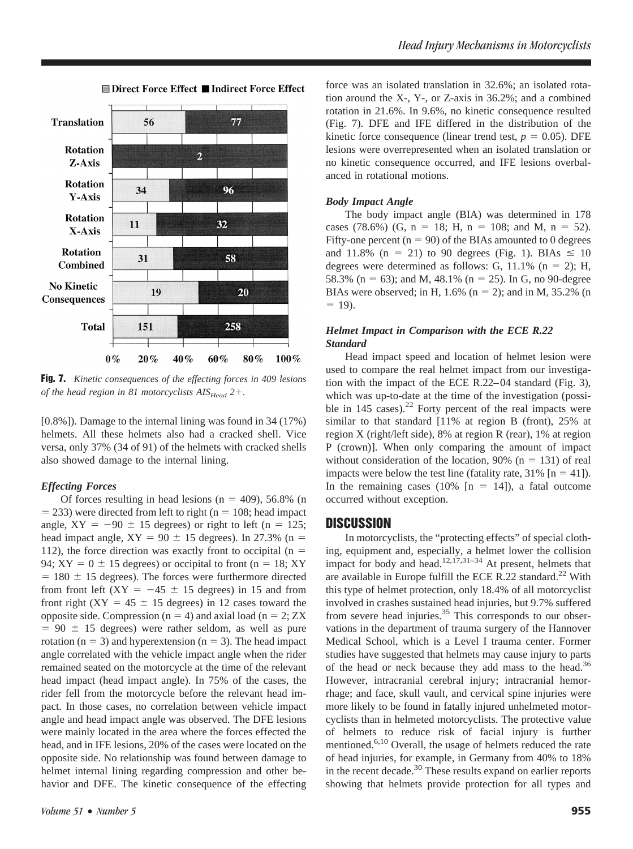



**Fig. 7.** *Kinetic consequences of the effecting forces in 409 lesions of the head region in 81 motorcyclists*  $AIS_{Head}$  *2+.* 

[0.8%]). Damage to the internal lining was found in 34 (17%) helmets. All these helmets also had a cracked shell. Vice versa, only 37% (34 of 91) of the helmets with cracked shells also showed damage to the internal lining.

#### *Effecting Forces*

Of forces resulting in head lesions ( $n = 409$ ), 56.8% (n  $=$  233) were directed from left to right ( $n = 108$ ; head impact angle,  $XY = -90 \pm 15$  degrees) or right to left (n = 125; head impact angle,  $XY = 90 \pm 15$  degrees). In 27.3% (n = 112), the force direction was exactly front to occipital  $(n =$ 94;  $XY = 0 \pm 15$  degrees) or occipital to front (n = 18; XY  $= 180 \pm 15$  degrees). The forces were furthermore directed from front left  $(XY = -45 \pm 15$  degrees) in 15 and from front right (XY =  $45 \pm 15$  degrees) in 12 cases toward the opposite side. Compression  $(n = 4)$  and axial load  $(n = 2; ZX)$  $= 90 \pm 15$  degrees) were rather seldom, as well as pure rotation ( $n = 3$ ) and hyperextension ( $n = 3$ ). The head impact angle correlated with the vehicle impact angle when the rider remained seated on the motorcycle at the time of the relevant head impact (head impact angle). In 75% of the cases, the rider fell from the motorcycle before the relevant head impact. In those cases, no correlation between vehicle impact angle and head impact angle was observed. The DFE lesions were mainly located in the area where the forces effected the head, and in IFE lesions, 20% of the cases were located on the opposite side. No relationship was found between damage to helmet internal lining regarding compression and other behavior and DFE. The kinetic consequence of the effecting force was an isolated translation in 32.6%; an isolated rotation around the X-, Y-, or Z-axis in 36.2%; and a combined rotation in 21.6%. In 9.6%, no kinetic consequence resulted (Fig. 7). DFE and IFE differed in the distribution of the kinetic force consequence (linear trend test,  $p = 0.05$ ). DFE lesions were overrepresented when an isolated translation or no kinetic consequence occurred, and IFE lesions overbalanced in rotational motions.

## *Body Impact Angle*

The body impact angle (BIA) was determined in 178 cases (78.6%) (G,  $n = 18$ ; H,  $n = 108$ ; and M,  $n = 52$ ). Fifty-one percent ( $n = 90$ ) of the BIAs amounted to 0 degrees and 11.8% (n = 21) to 90 degrees (Fig. 1). BIAs  $\leq 10$ degrees were determined as follows: G,  $11.1\%$  (n = 2); H, 58.3% ( $n = 63$ ); and M, 48.1% ( $n = 25$ ). In G, no 90-degree BIAs were observed; in H,  $1.6\%$  (n = 2); and in M, 35.2% (n  $= 19$ ).

## *Helmet Impact in Comparison with the ECE R.22 Standard*

Head impact speed and location of helmet lesion were used to compare the real helmet impact from our investigation with the impact of the ECE R.22–04 standard (Fig. 3), which was up-to-date at the time of the investigation (possible in  $145 \text{ cases}$ .<sup>22</sup> Forty percent of the real impacts were similar to that standard [11% at region B (front), 25% at region X (right/left side), 8% at region R (rear), 1% at region P (crown)]. When only comparing the amount of impact without consideration of the location,  $90\%$  ( $n = 131$ ) of real impacts were below the test line (fatality rate,  $31\%$  [n = 41]). In the remaining cases  $(10\%$  [n = 14]), a fatal outcome occurred without exception.

### **DISCUSSION**

In motorcyclists, the "protecting effects" of special clothing, equipment and, especially, a helmet lower the collision impact for body and head.<sup>12,17,31–34</sup> At present, helmets that are available in Europe fulfill the ECE R.22 standard.<sup>22</sup> With this type of helmet protection, only 18.4% of all motorcyclist involved in crashes sustained head injuries, but 9.7% suffered from severe head injuries.<sup>35</sup> This corresponds to our observations in the department of trauma surgery of the Hannover Medical School, which is a Level I trauma center. Former studies have suggested that helmets may cause injury to parts of the head or neck because they add mass to the head.<sup>36</sup> However, intracranial cerebral injury; intracranial hemorrhage; and face, skull vault, and cervical spine injuries were more likely to be found in fatally injured unhelmeted motorcyclists than in helmeted motorcyclists. The protective value of helmets to reduce risk of facial injury is further mentioned.6,10 Overall, the usage of helmets reduced the rate of head injuries, for example, in Germany from 40% to 18% in the recent decade.30 These results expand on earlier reports showing that helmets provide protection for all types and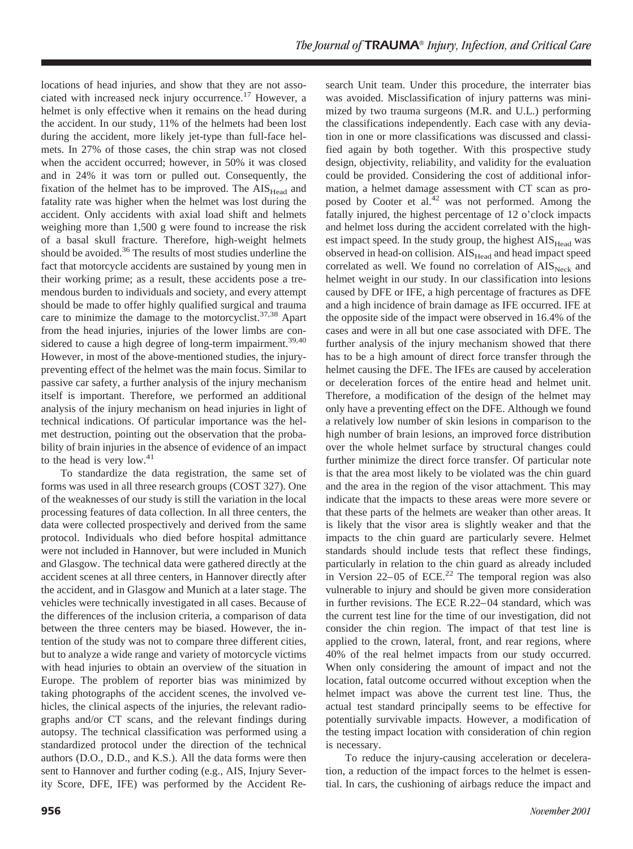search Unit team. Under this procedure, the interrater bias was avoided. Misclassification of injury patterns was minimized by two trauma surgeons (M.R. and U.L.) performing the classifications independently. Each case with any deviation in one or more classifications was discussed and classi-

locations of head injuries, and show that they are not associated with increased neck injury occurrence.17 However, a helmet is only effective when it remains on the head during the accident. In our study, 11% of the helmets had been lost during the accident, more likely jet-type than full-face helmets. In 27% of those cases, the chin strap was not closed when the accident occurred; however, in 50% it was closed and in 24% it was torn or pulled out. Consequently, the fixation of the helmet has to be improved. The  $\text{AIS}_{\text{Head}}$  and fatality rate was higher when the helmet was lost during the accident. Only accidents with axial load shift and helmets weighing more than 1,500 g were found to increase the risk of a basal skull fracture. Therefore, high-weight helmets should be avoided.<sup>36</sup> The results of most studies underline the fact that motorcycle accidents are sustained by young men in their working prime; as a result, these accidents pose a tremendous burden to individuals and society, and every attempt should be made to offer highly qualified surgical and trauma care to minimize the damage to the motorcyclist.<sup>37,38</sup> Apart from the head injuries, injuries of the lower limbs are considered to cause a high degree of long-term impairment.<sup>39,40</sup> However, in most of the above-mentioned studies, the injurypreventing effect of the helmet was the main focus. Similar to passive car safety, a further analysis of the injury mechanism itself is important. Therefore, we performed an additional analysis of the injury mechanism on head injuries in light of technical indications. Of particular importance was the helmet destruction, pointing out the observation that the probability of brain injuries in the absence of evidence of an impact to the head is very low.<sup>41</sup>

To standardize the data registration, the same set of forms was used in all three research groups (COST 327). One of the weaknesses of our study is still the variation in the local processing features of data collection. In all three centers, the data were collected prospectively and derived from the same protocol. Individuals who died before hospital admittance were not included in Hannover, but were included in Munich and Glasgow. The technical data were gathered directly at the accident scenes at all three centers, in Hannover directly after the accident, and in Glasgow and Munich at a later stage. The vehicles were technically investigated in all cases. Because of the differences of the inclusion criteria, a comparison of data between the three centers may be biased. However, the intention of the study was not to compare three different cities, but to analyze a wide range and variety of motorcycle victims with head injuries to obtain an overview of the situation in Europe. The problem of reporter bias was minimized by taking photographs of the accident scenes, the involved vehicles, the clinical aspects of the injuries, the relevant radiographs and/or CT scans, and the relevant findings during autopsy. The technical classification was performed using a standardized protocol under the direction of the technical authors (D.O., D.D., and K.S.). All the data forms were then sent to Hannover and further coding (e.g., AIS, Injury Severity Score, DFE, IFE) was performed by the Accident Refied again by both together. With this prospective study design, objectivity, reliability, and validity for the evaluation could be provided. Considering the cost of additional information, a helmet damage assessment with CT scan as proposed by Cooter et al. $42$  was not performed. Among the fatally injured, the highest percentage of 12 o'clock impacts and helmet loss during the accident correlated with the highest impact speed. In the study group, the highest  $\text{AIS}_{\text{Head}}$  was observed in head-on collision. AIS<sub>Head</sub> and head impact speed correlated as well. We found no correlation of  $\text{AIS}_{\text{Neck}}$  and helmet weight in our study. In our classification into lesions caused by DFE or IFE, a high percentage of fractures as DFE and a high incidence of brain damage as IFE occurred. IFE at the opposite side of the impact were observed in 16.4% of the cases and were in all but one case associated with DFE. The further analysis of the injury mechanism showed that there has to be a high amount of direct force transfer through the helmet causing the DFE. The IFEs are caused by acceleration or deceleration forces of the entire head and helmet unit. Therefore, a modification of the design of the helmet may only have a preventing effect on the DFE. Although we found a relatively low number of skin lesions in comparison to the high number of brain lesions, an improved force distribution over the whole helmet surface by structural changes could further minimize the direct force transfer. Of particular note is that the area most likely to be violated was the chin guard and the area in the region of the visor attachment. This may indicate that the impacts to these areas were more severe or that these parts of the helmets are weaker than other areas. It is likely that the visor area is slightly weaker and that the impacts to the chin guard are particularly severe. Helmet standards should include tests that reflect these findings, particularly in relation to the chin guard as already included in Version  $22-05$  of ECE.<sup>22</sup> The temporal region was also vulnerable to injury and should be given more consideration in further revisions. The ECE R.22–04 standard, which was the current test line for the time of our investigation, did not consider the chin region. The impact of that test line is applied to the crown, lateral, front, and rear regions, where 40% of the real helmet impacts from our study occurred. When only considering the amount of impact and not the location, fatal outcome occurred without exception when the helmet impact was above the current test line. Thus, the actual test standard principally seems to be effective for potentially survivable impacts. However, a modification of the testing impact location with consideration of chin region is necessary.

To reduce the injury-causing acceleration or deceleration, a reduction of the impact forces to the helmet is essential. In cars, the cushioning of airbags reduce the impact and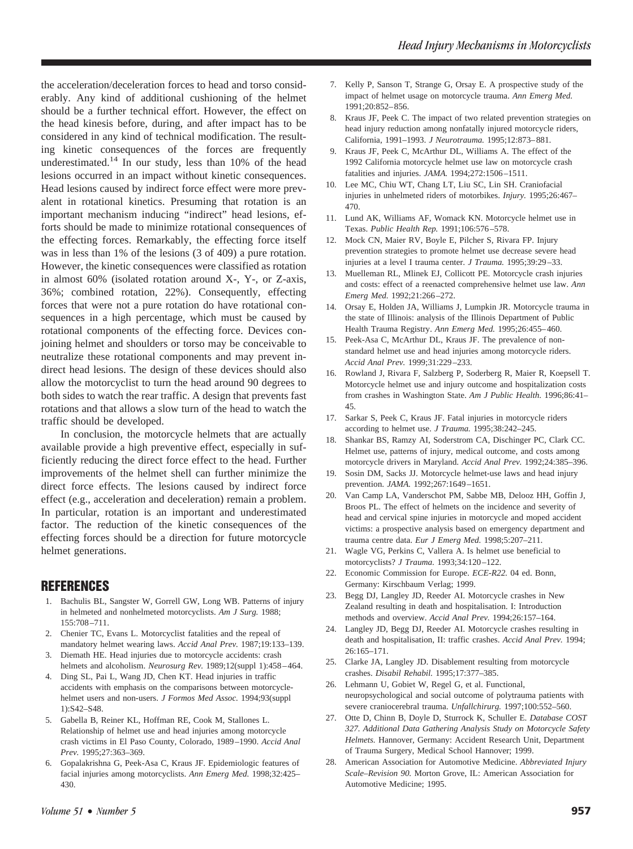the acceleration/deceleration forces to head and torso considerably. Any kind of additional cushioning of the helmet should be a further technical effort. However, the effect on the head kinesis before, during, and after impact has to be considered in any kind of technical modification. The resulting kinetic consequences of the forces are frequently underestimated.<sup>14</sup> In our study, less than 10% of the head lesions occurred in an impact without kinetic consequences. Head lesions caused by indirect force effect were more prevalent in rotational kinetics. Presuming that rotation is an important mechanism inducing "indirect" head lesions, efforts should be made to minimize rotational consequences of the effecting forces. Remarkably, the effecting force itself was in less than 1% of the lesions (3 of 409) a pure rotation. However, the kinetic consequences were classified as rotation in almost 60% (isolated rotation around X-, Y-, or Z-axis, 36%; combined rotation, 22%). Consequently, effecting forces that were not a pure rotation do have rotational consequences in a high percentage, which must be caused by rotational components of the effecting force. Devices conjoining helmet and shoulders or torso may be conceivable to neutralize these rotational components and may prevent indirect head lesions. The design of these devices should also allow the motorcyclist to turn the head around 90 degrees to both sides to watch the rear traffic. A design that prevents fast rotations and that allows a slow turn of the head to watch the traffic should be developed.

In conclusion, the motorcycle helmets that are actually available provide a high preventive effect, especially in sufficiently reducing the direct force effect to the head. Further improvements of the helmet shell can further minimize the direct force effects. The lesions caused by indirect force effect (e.g., acceleration and deceleration) remain a problem. In particular, rotation is an important and underestimated factor. The reduction of the kinetic consequences of the effecting forces should be a direction for future motorcycle helmet generations.

## **REFERENCES**

- 1. Bachulis BL, Sangster W, Gorrell GW, Long WB. Patterns of injury in helmeted and nonhelmeted motorcyclists. *Am J Surg.* 1988; 155:708–711.
- 2. Chenier TC, Evans L. Motorcyclist fatalities and the repeal of mandatory helmet wearing laws. *Accid Anal Prev.* 1987;19:133–139.
- 3. Diemath HE. Head injuries due to motorcycle accidents: crash helmets and alcoholism. *Neurosurg Rev.* 1989;12(suppl 1):458–464.
- 4. Ding SL, Pai L, Wang JD, Chen KT. Head injuries in traffic accidents with emphasis on the comparisons between motorcyclehelmet users and non-users. *J Formos Med Assoc.* 1994;93(suppl 1):S42–S48.
- 5. Gabella B, Reiner KL, Hoffman RE, Cook M, Stallones L. Relationship of helmet use and head injuries among motorcycle crash victims in El Paso County, Colorado, 1989–1990. *Accid Anal Prev.* 1995;27:363–369.
- 6. Gopalakrishna G, Peek-Asa C, Kraus JF. Epidemiologic features of facial injuries among motorcyclists. *Ann Emerg Med.* 1998;32:425– 430.
- *Volume 51 Number 5* **957**
- 7. Kelly P, Sanson T, Strange G, Orsay E. A prospective study of the impact of helmet usage on motorcycle trauma. *Ann Emerg Med.* 1991;20:852–856.
- 8. Kraus JF, Peek C. The impact of two related prevention strategies on head injury reduction among nonfatally injured motorcycle riders, California, 1991–1993. *J Neurotrauma.* 1995;12:873–881.
- 9. Kraus JF, Peek C, McArthur DL, Williams A. The effect of the 1992 California motorcycle helmet use law on motorcycle crash fatalities and injuries. *JAMA.* 1994;272:1506–1511.
- 10. Lee MC, Chiu WT, Chang LT, Liu SC, Lin SH. Craniofacial injuries in unhelmeted riders of motorbikes. *Injury.* 1995;26:467– 470.
- 11. Lund AK, Williams AF, Womack KN. Motorcycle helmet use in Texas. *Public Health Rep.* 1991;106:576–578.
- 12. Mock CN, Maier RV, Boyle E, Pilcher S, Rivara FP. Injury prevention strategies to promote helmet use decrease severe head injuries at a level I trauma center. *J Trauma.* 1995;39:29–33.
- 13. Muelleman RL, Mlinek EJ, Collicott PE. Motorcycle crash injuries and costs: effect of a reenacted comprehensive helmet use law. *Ann Emerg Med.* 1992;21:266–272.
- 14. Orsay E, Holden JA, Williams J, Lumpkin JR. Motorcycle trauma in the state of Illinois: analysis of the Illinois Department of Public Health Trauma Registry. *Ann Emerg Med.* 1995;26:455–460.
- 15. Peek-Asa C, McArthur DL, Kraus JF. The prevalence of nonstandard helmet use and head injuries among motorcycle riders. *Accid Anal Prev.* 1999;31:229–233.
- 16. Rowland J, Rivara F, Salzberg P, Soderberg R, Maier R, Koepsell T. Motorcycle helmet use and injury outcome and hospitalization costs from crashes in Washington State. *Am J Public Health.* 1996;86:41– 45.
- 17. Sarkar S, Peek C, Kraus JF. Fatal injuries in motorcycle riders according to helmet use. *J Trauma.* 1995;38:242–245.
- 18. Shankar BS, Ramzy AI, Soderstrom CA, Dischinger PC, Clark CC. Helmet use, patterns of injury, medical outcome, and costs among motorcycle drivers in Maryland. *Accid Anal Prev.* 1992;24:385–396.
- 19. Sosin DM, Sacks JJ. Motorcycle helmet-use laws and head injury prevention. *JAMA.* 1992;267:1649–1651.
- 20. Van Camp LA, Vanderschot PM, Sabbe MB, Delooz HH, Goffin J, Broos PL. The effect of helmets on the incidence and severity of head and cervical spine injuries in motorcycle and moped accident victims: a prospective analysis based on emergency department and trauma centre data. *Eur J Emerg Med.* 1998;5:207–211.
- 21. Wagle VG, Perkins C, Vallera A. Is helmet use beneficial to motorcyclists? *J Trauma.* 1993;34:120–122.
- 22. Economic Commission for Europe. *ECE-R22.* 04 ed. Bonn, Germany: Kirschbaum Verlag; 1999.
- 23. Begg DJ, Langley JD, Reeder AI. Motorcycle crashes in New Zealand resulting in death and hospitalisation. I: Introduction methods and overview. *Accid Anal Prev.* 1994;26:157–164.
- 24. Langley JD, Begg DJ, Reeder AI. Motorcycle crashes resulting in death and hospitalisation, II: traffic crashes. *Accid Anal Prev.* 1994; 26:165–171.
- 25. Clarke JA, Langley JD. Disablement resulting from motorcycle crashes. *Disabil Rehabil.* 1995;17:377–385.
- 26. Lehmann U, Gobiet W, Regel G, et al. Functional, neuropsychological and social outcome of polytrauma patients with severe craniocerebral trauma. *Unfallchirurg.* 1997;100:552–560.
- 27. Otte D, Chinn B, Doyle D, Sturrock K, Schuller E. *Database COST 327. Additional Data Gathering Analysis Study on Motorcycle Safety Helmets.* Hannover, Germany: Accident Research Unit, Department of Trauma Surgery, Medical School Hannover; 1999.
- 28. American Association for Automotive Medicine. *Abbreviated Injury Scale–Revision 90.* Morton Grove, IL: American Association for Automotive Medicine; 1995.